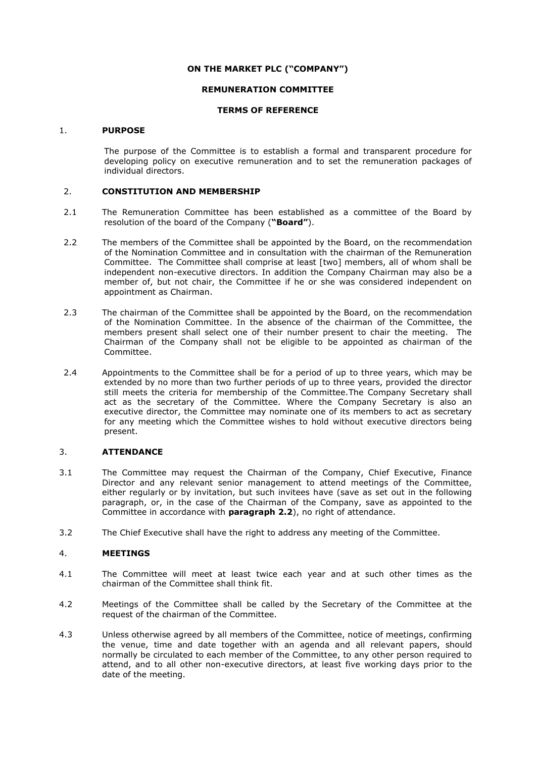## **ON THE MARKET PLC ("COMPANY")**

## **REMUNERATION COMMITTEE**

## **TERMS OF REFERENCE**

#### 1. **PURPOSE**

The purpose of the Committee is to establish a formal and transparent procedure for developing policy on executive remuneration and to set the remuneration packages of individual directors.

# 2. **CONSTITUTION AND MEMBERSHIP**

- 2.1 The Remuneration Committee has been established as a committee of the Board by resolution of the board of the Company (**"Board"**).
- <span id="page-0-0"></span>2.2 The members of the Committee shall be appointed by the Board, on the recommendation of the Nomination Committee and in consultation with the chairman of the Remuneration Committee. The Committee shall comprise at least [two] members, all of whom shall be independent non-executive directors. In addition the Company Chairman may also be a member of, but not chair, the Committee if he or she was considered independent on appointment as Chairman.
- 2.3 The chairman of the Committee shall be appointed by the Board, on the recommendation of the Nomination Committee. In the absence of the chairman of the Committee, the members present shall select one of their number present to chair the meeting. The Chairman of the Company shall not be eligible to be appointed as chairman of the Committee.
- 2.4 Appointments to the Committee shall be for a period of up to three years, which may be extended by no more than two further periods of up to three years, provided the director still meets the criteria for membership of the Committee.The Company Secretary shall act as the secretary of the Committee. Where the Company Secretary is also an executive director, the Committee may nominate one of its members to act as secretary for any meeting which the Committee wishes to hold without executive directors being present.

## 3. **ATTENDANCE**

- 3.1 The Committee may request the Chairman of the Company, Chief Executive, Finance Director and any relevant senior management to attend meetings of the Committee, either regularly or by invitation, but such invitees have (save as set out in the following paragraph, or, in the case of the Chairman of the Company, save as appointed to the Committee in accordance with **paragraph [2.2](#page-0-0)**), no right of attendance.
- 3.2 The Chief Executive shall have the right to address any meeting of the Committee.

#### 4. **MEETINGS**

- 4.1 The Committee will meet at least twice each year and at such other times as the chairman of the Committee shall think fit.
- 4.2 Meetings of the Committee shall be called by the Secretary of the Committee at the request of the chairman of the Committee.
- 4.3 Unless otherwise agreed by all members of the Committee, notice of meetings, confirming the venue, time and date together with an agenda and all relevant papers, should normally be circulated to each member of the Committee, to any other person required to attend, and to all other non-executive directors, at least five working days prior to the date of the meeting.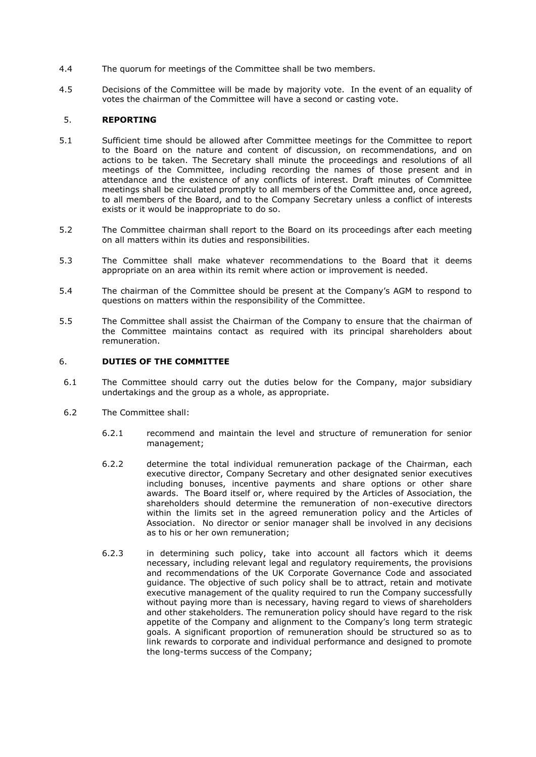- 4.4 The quorum for meetings of the Committee shall be two members.
- 4.5 Decisions of the Committee will be made by majority vote. In the event of an equality of votes the chairman of the Committee will have a second or casting vote.

# 5. **REPORTING**

- 5.1 Sufficient time should be allowed after Committee meetings for the Committee to report to the Board on the nature and content of discussion, on recommendations, and on actions to be taken. The Secretary shall minute the proceedings and resolutions of all meetings of the Committee, including recording the names of those present and in attendance and the existence of any conflicts of interest. Draft minutes of Committee meetings shall be circulated promptly to all members of the Committee and, once agreed, to all members of the Board, and to the Company Secretary unless a conflict of interests exists or it would be inappropriate to do so.
- 5.2 The Committee chairman shall report to the Board on its proceedings after each meeting on all matters within its duties and responsibilities.
- 5.3 The Committee shall make whatever recommendations to the Board that it deems appropriate on an area within its remit where action or improvement is needed.
- 5.4 The chairman of the Committee should be present at the Company's AGM to respond to questions on matters within the responsibility of the Committee.
- 5.5 The Committee shall assist the Chairman of the Company to ensure that the chairman of the Committee maintains contact as required with its principal shareholders about remuneration.

# 6. **DUTIES OF THE COMMITTEE**

- 6.1 The Committee should carry out the duties below for the Company, major subsidiary undertakings and the group as a whole, as appropriate.
- 6.2 The Committee shall:
	- 6.2.1 recommend and maintain the level and structure of remuneration for senior management;
	- 6.2.2 determine the total individual remuneration package of the Chairman, each executive director, Company Secretary and other designated senior executives including bonuses, incentive payments and share options or other share awards. The Board itself or, where required by the Articles of Association, the shareholders should determine the remuneration of non-executive directors within the limits set in the agreed remuneration policy and the Articles of Association. No director or senior manager shall be involved in any decisions as to his or her own remuneration;
	- 6.2.3 in determining such policy, take into account all factors which it deems necessary, including relevant legal and regulatory requirements, the provisions and recommendations of the UK Corporate Governance Code and associated guidance. The objective of such policy shall be to attract, retain and motivate executive management of the quality required to run the Company successfully without paying more than is necessary, having regard to views of shareholders and other stakeholders. The remuneration policy should have regard to the risk appetite of the Company and alignment to the Company's long term strategic goals. A significant proportion of remuneration should be structured so as to link rewards to corporate and individual performance and designed to promote the long-terms success of the Company;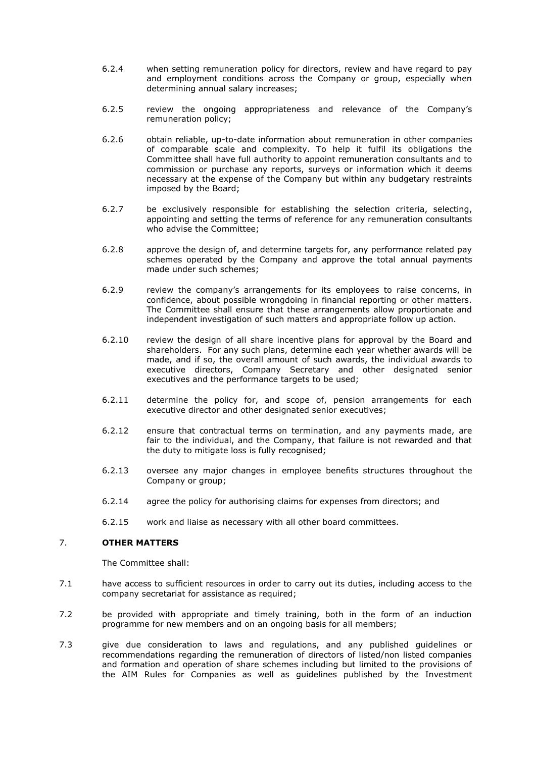- 6.2.4 when setting remuneration policy for directors, review and have regard to pay and employment conditions across the Company or group, especially when determining annual salary increases;
- 6.2.5 review the ongoing appropriateness and relevance of the Company's remuneration policy;
- 6.2.6 obtain reliable, up-to-date information about remuneration in other companies of comparable scale and complexity. To help it fulfil its obligations the Committee shall have full authority to appoint remuneration consultants and to commission or purchase any reports, surveys or information which it deems necessary at the expense of the Company but within any budgetary restraints imposed by the Board;
- 6.2.7 be exclusively responsible for establishing the selection criteria, selecting, appointing and setting the terms of reference for any remuneration consultants who advise the Committee;
- 6.2.8 approve the design of, and determine targets for, any performance related pay schemes operated by the Company and approve the total annual payments made under such schemes;
- 6.2.9 review the company's arrangements for its employees to raise concerns, in confidence, about possible wrongdoing in financial reporting or other matters. The Committee shall ensure that these arrangements allow proportionate and independent investigation of such matters and appropriate follow up action.
- 6.2.10 review the design of all share incentive plans for approval by the Board and shareholders. For any such plans, determine each year whether awards will be made, and if so, the overall amount of such awards, the individual awards to executive directors, Company Secretary and other designated senior executives and the performance targets to be used;
- 6.2.11 determine the policy for, and scope of, pension arrangements for each executive director and other designated senior executives;
- 6.2.12 ensure that contractual terms on termination, and any payments made, are fair to the individual, and the Company, that failure is not rewarded and that the duty to mitigate loss is fully recognised;
- 6.2.13 oversee any major changes in employee benefits structures throughout the Company or group;
- 6.2.14 agree the policy for authorising claims for expenses from directors; and
- 6.2.15 work and liaise as necessary with all other board committees.

# 7. **OTHER MATTERS**

The Committee shall:

- 7.1 have access to sufficient resources in order to carry out its duties, including access to the company secretariat for assistance as required;
- 7.2 be provided with appropriate and timely training, both in the form of an induction programme for new members and on an ongoing basis for all members;
- 7.3 give due consideration to laws and regulations, and any published guidelines or recommendations regarding the remuneration of directors of listed/non listed companies and formation and operation of share schemes including but limited to the provisions of the AIM Rules for Companies as well as guidelines published by the Investment